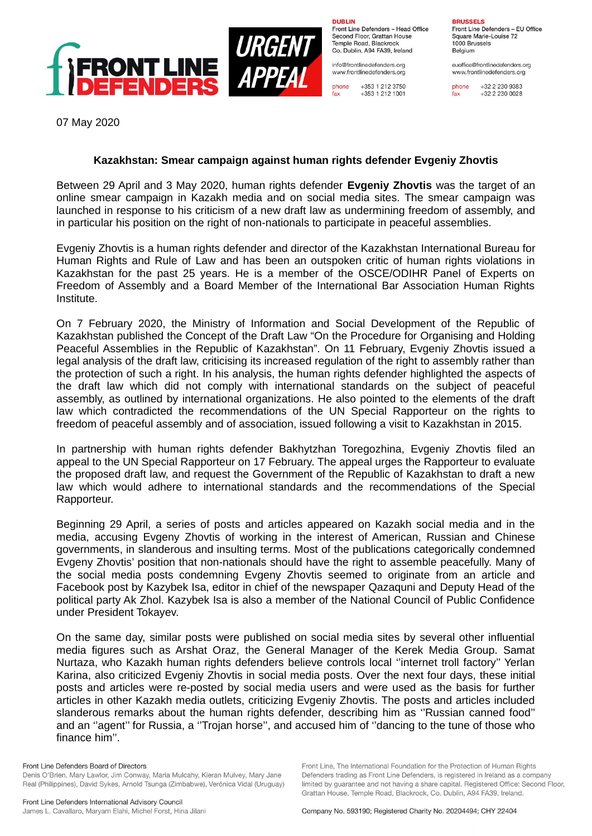

**DURLIN** Front Line Defenders - Head Office Second Floor, Grattan House Temple Boad, Blackrock Co. Dublin, A94 FA39, Ireland

info@frontlinedefenders.org www.frontlinedefenders.org

+353 1 212 3750 phone fax +353 1 212 1001

**BDHCCELC** 

Front Line Defenders - EU Office Square Marie-Louise 72 1000 Brussels Belgium

euoffice@frontlinedefenders.org www.frontlinedefenders.org

phone +32 2 230 9383 fax +32 2 230 0028

07 May 2020

## **Kazakhstan: Smear campaign against human rights defender Evgeniy Zhovtis**

Between 29 April and 3 May 2020, human rights defender **Evgeniy Zhovtis** was the target of an online smear campaign in Kazakh media and on social media sites. The smear campaign was launched in response to his criticism of a new draft law as undermining freedom of assembly, and in particular his position on the right of non-nationals to participate in peaceful assemblies.

Evgeniy Zhovtis is a human rights defender and director of the Kazakhstan International Bureau for Human Rights and Rule of Law and has been an outspoken critic of human rights violations in Kazakhstan for the past 25 years. He is a member of the OSCE/ODIHR Panel of Experts on Freedom of Assembly and a Board Member of the International Bar Association Human Rights Institute.

On 7 February 2020, the Ministry of Information and Social Development of the Republic of Kazakhstan published the Concept of the Draft Law "On the Procedure for Organising and Holding Peaceful Assemblies in the Republic of Kazakhstan". On 11 February, Evgeniy Zhovtis issued a legal analysis of the draft law, criticising its increased regulation of the right to assembly rather than the protection of such a right. In his analysis, the human rights defender highlighted the aspects of the draft law which did not comply with international standards on the subject of peaceful assembly, as outlined by international organizations. He also pointed to the elements of the draft law which contradicted the recommendations of the UN Special Rapporteur on the rights to freedom of peaceful assembly and of association, issued following a visit to Kazakhstan in 2015.

In partnership with human rights defender Bakhytzhan Toregozhina, Evgeniy Zhovtis filed an appeal to the UN Special Rapporteur on 17 February. The appeal urges the Rapporteur to evaluate the proposed draft law, and request the Government of the Republic of Kazakhstan to draft a new law which would adhere to international standards and the recommendations of the Special Rapporteur.

Beginning 29 April, a series of posts and articles appeared on Kazakh social media and in the media, accusing Evgeny Zhovtis of working in the interest of American, Russian and Chinese governments, in slanderous and insulting terms. Most of the publications categorically condemned Evgeny Zhovtis' position that non-nationals should have the right to assemble peacefully. Many of the social media posts condemning Evgeny Zhovtis seemed to originate from an article and Facebook post by Kazybek Isa, editor in chief of the newspaper Qazaquni and Deputy Head of the political party Ak Zhol. Kazybek Isa is also a member of the National Council of Public Confidence under President Tokayev.

On the same day, similar posts were published on social media sites by several other influential media figures such as Arshat Oraz, the General Manager of the Kerek Media Group. Samat Nurtaza, who Kazakh human rights defenders believe controls local ''internet troll factory'' Yerlan Karina, also criticized Evgeniy Zhovtis in social media posts. Over the next four days, these initial posts and articles were re-posted by social media users and were used as the basis for further articles in other Kazakh media outlets, criticizing Evgeniy Zhovtis. The posts and articles included slanderous remarks about the human rights defender, describing him as ''Russian canned food'' and an ''agent'' for Russia, a ''Trojan horse'', and accused him of ''dancing to the tune of those who finance him''.

Front Line, The International Foundation for the Protection of Human Rights

Defenders trading as Front Line Defenders, is registered in Ireland as a company limited by quarantee and not having a share capital. Registered Office: Second Floor.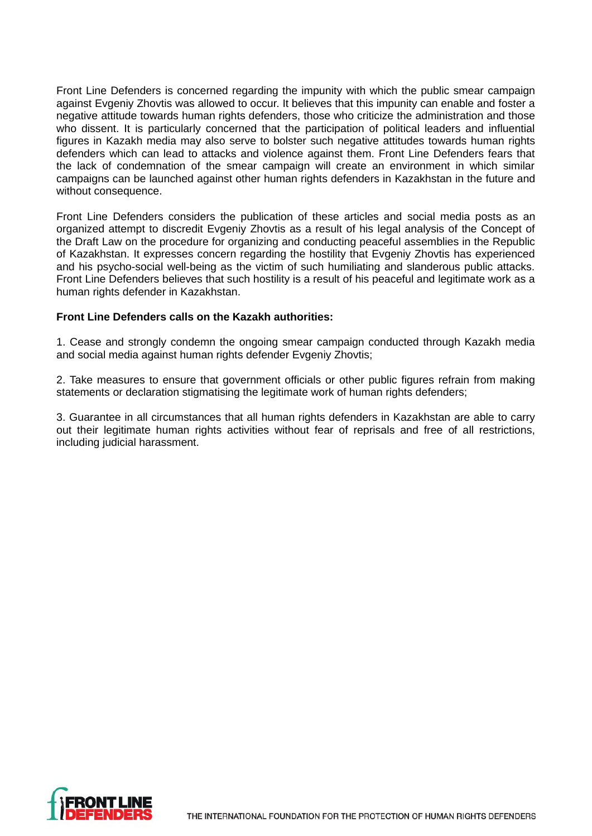Front Line Defenders is concerned regarding the impunity with which the public smear campaign against Evgeniy Zhovtis was allowed to occur. It believes that this impunity can enable and foster a negative attitude towards human rights defenders, those who criticize the administration and those who dissent. It is particularly concerned that the participation of political leaders and influential figures in Kazakh media may also serve to bolster such negative attitudes towards human rights defenders which can lead to attacks and violence against them. Front Line Defenders fears that the lack of condemnation of the smear campaign will create an environment in which similar campaigns can be launched against other human rights defenders in Kazakhstan in the future and without consequence.

Front Line Defenders considers the publication of these articles and social media posts as an organized attempt to discredit Evgeniy Zhovtis as a result of his legal analysis of the Concept of the Draft Law on the procedure for organizing and conducting peaceful assemblies in the Republic of Kazakhstan. It expresses concern regarding the hostility that Evgeniy Zhovtis has experienced and his psycho-social well-being as the victim of such humiliating and slanderous public attacks. Front Line Defenders believes that such hostility is a result of his peaceful and legitimate work as a human rights defender in Kazakhstan.

## **Front Line Defenders calls on the Kazakh authorities:**

1. Cease and strongly condemn the ongoing smear campaign conducted through Kazakh media and social media against human rights defender Evgeniy Zhovtis;

2. Take measures to ensure that government officials or other public figures refrain from making statements or declaration stigmatising the legitimate work of human rights defenders;

3. Guarantee in all circumstances that all human rights defenders in Kazakhstan are able to carry out their legitimate human rights activities without fear of reprisals and free of all restrictions, including judicial harassment.